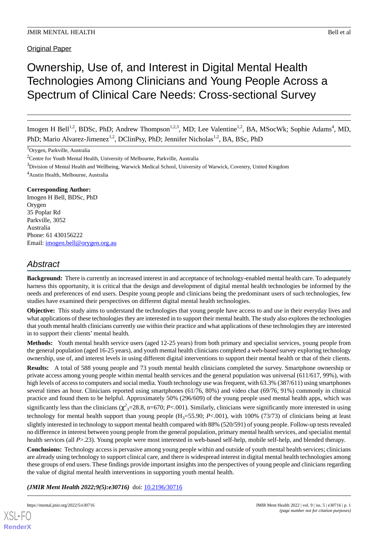Original Paper

# Ownership, Use of, and Interest in Digital Mental Health Technologies Among Clinicians and Young People Across a Spectrum of Clinical Care Needs: Cross-sectional Survey

Imogen H Bell<sup>1,2</sup>, BDSc, PhD; Andrew Thompson<sup>1,2,3</sup>, MD; Lee Valentine<sup>1,2</sup>, BA, MSocWk; Sophie Adams<sup>4</sup>, MD, PhD; Mario Alvarez-Jimenez<sup>1,2</sup>, DClinPsy, PhD; Jennifer Nicholas<sup>1,2</sup>, BA, BSc, PhD

<sup>1</sup>Orygen, Parkville, Australia

<sup>3</sup>Division of Mental Health and Wellbeing, Warwick Medical School, University of Warwick, Coventry, United Kingdom

<sup>4</sup>Austin Health, Melbourne, Australia

#### **Corresponding Author:**

Imogen H Bell, BDSc, PhD Orygen 35 Poplar Rd Parkville, 3052 Australia Phone: 61 430156222 Email: [imogen.bell@orygen.org.au](mailto:imogen.bell@orygen.org.au)

## *Abstract*

**Background:** There is currently an increased interest in and acceptance of technology-enabled mental health care. To adequately harness this opportunity, it is critical that the design and development of digital mental health technologies be informed by the needs and preferences of end users. Despite young people and clinicians being the predominant users of such technologies, few studies have examined their perspectives on different digital mental health technologies.

**Objective:** This study aims to understand the technologies that young people have access to and use in their everyday lives and what applications of these technologies they are interested in to support their mental health. The study also explores the technologies that youth mental health clinicians currently use within their practice and what applications of these technologies they are interested in to support their clients' mental health.

**Methods:** Youth mental health service users (aged 12-25 years) from both primary and specialist services, young people from the general population (aged 16-25 years), and youth mental health clinicians completed a web-based survey exploring technology ownership, use of, and interest levels in using different digital interventions to support their mental health or that of their clients.

**Results:** A total of 588 young people and 73 youth mental health clinicians completed the survey. Smartphone ownership or private access among young people within mental health services and the general population was universal (611/617, 99%), with high levels of access to computers and social media. Youth technology use was frequent, with 63.3% (387/611) using smartphones several times an hour. Clinicians reported using smartphones (61/76, 80%) and video chat (69/76, 91%) commonly in clinical practice and found them to be helpful. Approximately 50% (296/609) of the young people used mental health apps, which was significantly less than the clinicians  $(\chi^2_{3}=28.8, n=670; P<.001)$ . Similarly, clinicians were significantly more interested in using technology for mental health support than young people  $(H_3=55.90; P<.001)$ , with 100% (73/73) of clinicians being at least slightly interested in technology to support mental health compared with 88% (520/591) of young people. Follow-up tests revealed no difference in interest between young people from the general population, primary mental health services, and specialist mental health services (all *P*>.23). Young people were most interested in web-based self-help, mobile self-help, and blended therapy.

**Conclusions:** Technology access is pervasive among young people within and outside of youth mental health services; clinicians are already using technology to support clinical care, and there is widespread interest in digital mental health technologies among these groups of end users. These findings provide important insights into the perspectives of young people and clinicians regarding the value of digital mental health interventions in supporting youth mental health.

## (JMIR Ment Health 2022;9(5):e30716) doi: [10.2196/30716](http://dx.doi.org/10.2196/30716)

<sup>&</sup>lt;sup>2</sup>Centre for Youth Mental Health, University of Melbourne, Parkville, Australia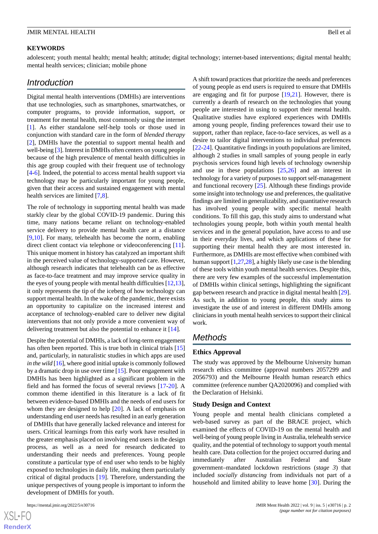#### **KEYWORDS**

adolescent; youth mental health; mental health; attitude; digital technology; internet-based interventions; digital mental health; mental health services; clinician; mobile phone

## *Introduction*

Digital mental health interventions (DMHIs) are interventions that use technologies, such as smartphones, smartwatches, or computer programs, to provide information, support, or treatment for mental health, most commonly using the internet [[1\]](#page-11-0). As either standalone self-help tools or those used in conjunction with standard care in the form of *blended therapy* [[2\]](#page-11-1), DMHIs have the potential to support mental health and well-being [[3\]](#page-11-2). Interest in DMHIs often centers on young people because of the high prevalence of mental health difficulties in this age group coupled with their frequent use of technology [[4](#page-11-3)[-6](#page-11-4)]. Indeed, the potential to access mental health support via technology may be particularly important for young people, given that their access and sustained engagement with mental health services are limited [\[7](#page-11-5),[8\]](#page-11-6).

The role of technology in supporting mental health was made starkly clear by the global COVID-19 pandemic. During this time, many nations became reliant on technology-enabled service delivery to provide mental health care at a distance [[9](#page-11-7)[,10](#page-11-8)]. For many, telehealth has become the norm, enabling direct client contact via telephone or videoconferencing [[11\]](#page-11-9). This unique moment in history has catalyzed an important shift in the perceived value of technology-supported care. However, although research indicates that telehealth can be as effective as face-to-face treatment and may improve service quality in the eyes of young people with mental health difficulties [[12,](#page-11-10)[13\]](#page-11-11), it only represents the tip of the iceberg of how technology can support mental health. In the wake of the pandemic, there exists an opportunity to capitalize on the increased interest and acceptance of technology-enabled care to deliver new digital interventions that not only provide a more convenient way of delivering treatment but also the potential to enhance it [\[14](#page-11-12)].

Despite the potential of DMHIs, a lack of long-term engagement has often been reported. This is true both in clinical trials [\[15](#page-11-13)] and, particularly, in naturalistic studies in which apps are used *in the wild* [[16\]](#page-11-14), where good initial uptake is commonly followed by a dramatic drop in use over time [\[15](#page-11-13)]. Poor engagement with DMHIs has been highlighted as a significant problem in the field and has formed the focus of several reviews [[17](#page-11-15)[-20](#page-12-0)]. A common theme identified in this literature is a lack of fit between evidence-based DMHIs and the needs of end users for whom they are designed to help [\[20](#page-12-0)]. A lack of emphasis on understanding end user needs has resulted in an early generation of DMHIs that have generally lacked relevance and interest for users. Critical learnings from this early work have resulted in the greater emphasis placed on involving end users in the design process, as well as a need for research dedicated to understanding their needs and preferences. Young people constitute a particular type of end user who tends to be highly exposed to technologies in daily life, making them particularly critical of digital products [\[19](#page-12-1)]. Therefore, understanding the unique perspectives of young people is important to inform the development of DMHIs for youth.

 $XS$ -FO **[RenderX](http://www.renderx.com/)** A shift toward practices that prioritize the needs and preferences of young people as end users is required to ensure that DMHIs are engaging and fit for purpose [\[19](#page-12-1),[21\]](#page-12-2). However, there is currently a dearth of research on the technologies that young people are interested in using to support their mental health. Qualitative studies have explored experiences with DMHIs among young people, finding preferences toward their use to support, rather than replace, face-to-face services, as well as a desire to tailor digital interventions to individual preferences [[22](#page-12-3)[-24](#page-12-4)]. Quantitative findings in youth populations are limited, although 2 studies in small samples of young people in early psychosis services found high levels of technology ownership and use in these populations [[25](#page-12-5)[,26](#page-12-6)] and an interest in technology for a variety of purposes to support self-management and functional recovery [[25\]](#page-12-5). Although these findings provide some insight into technology use and preferences, the qualitative findings are limited in generalizability, and quantitative research has involved young people with specific mental health conditions. To fill this gap, this study aims to understand what technologies young people, both within youth mental health services and in the general population, have access to and use in their everyday lives, and which applications of these for supporting their mental health they are most interested in. Furthermore, as DMHIs are most effective when combined with human support [\[1](#page-11-0)[,27](#page-12-7),[28\]](#page-12-8), a highly likely use case is the blending of these tools within youth mental health services. Despite this, there are very few examples of the successful implementation of DMHIs within clinical settings, highlighting the significant gap between research and practice in digital mental health [[29\]](#page-12-9). As such, in addition to young people, this study aims to investigate the use of and interest in different DMHIs among clinicians in youth mental health services to support their clinical work.

## *Methods*

#### **Ethics Approval**

The study was approved by the Melbourne University human research ethics committee (approval numbers 2057299 and 2056793) and the Melbourne Health human research ethics committee (reference number QA2020096) and complied with the Declaration of Helsinki.

#### **Study Design and Context**

Young people and mental health clinicians completed a web-based survey as part of the BRACE project, which examined the effects of COVID-19 on the mental health and well-being of young people living in Australia, telehealth service quality, and the potential of technology to support youth mental health care. Data collection for the project occurred during and immediately after Australian Federal and State government–mandated lockdown restrictions (*stage 3*) that included *socially distancing* from individuals not part of a household and limited ability to leave home [[30\]](#page-12-10). During the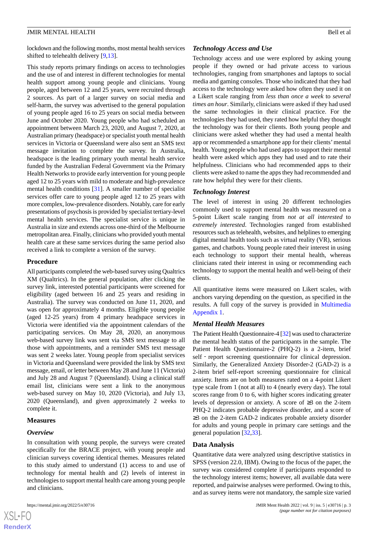lockdown and the following months, most mental health services shifted to telehealth delivery [\[9](#page-11-7),[13\]](#page-11-11).

This study reports primary findings on access to technologies and the use of and interest in different technologies for mental health support among young people and clinicians. Young people, aged between 12 and 25 years, were recruited through 2 sources. As part of a larger survey on social media and self-harm, the survey was advertised to the general population of young people aged 16 to 25 years on social media between June and October 2020. Young people who had scheduled an appointment between March 23, 2020, and August 7, 2020, at Australian primary (headspace) or specialist youth mental health services in Victoria or Queensland were also sent an SMS text message invitation to complete the survey. In Australia, headspace is the leading primary youth mental health service funded by the Australian Federal Government via the Primary Health Networks to provide early intervention for young people aged 12 to 25 years with mild to moderate and high-prevalence mental health conditions [\[31](#page-12-11)]. A smaller number of specialist services offer care to young people aged 12 to 25 years with more complex, low-prevalence disorders. Notably, care for early presentations of psychosis is provided by specialist tertiary-level mental health services. The specialist service is unique in Australia in size and extends across one-third of the Melbourne metropolitan area. Finally, clinicians who provided youth mental health care at these same services during the same period also received a link to complete a version of the survey.

#### **Procedure**

All participants completed the web-based survey using Qualtrics XM (Qualtrics). In the general population, after clicking the survey link, interested potential participants were screened for eligibility (aged between 16 and 25 years and residing in Australia). The survey was conducted on June 11, 2020, and was open for approximately 4 months. Eligible young people (aged 12-25 years) from 4 primary headspace services in Victoria were identified via the appointment calendars of the participating services. On May 28, 2020, an anonymous web-based survey link was sent via SMS text message to all those with appointments, and a reminder SMS text message was sent 2 weeks later. Young people from specialist services in Victoria and Queensland were provided the link by SMS text message, email, or letter between May 28 and June 11 (Victoria) and July 28 and August 7 (Queensland). Using a clinical staff email list, clinicians were sent a link to the anonymous web-based survey on May 10, 2020 (Victoria), and July 13, 2020 (Queensland), and given approximately 2 weeks to complete it.

#### **Measures**

#### *Overview*

In consultation with young people, the surveys were created specifically for the BRACE project, with young people and clinician surveys covering identical themes. Measures related to this study aimed to understand (1) access to and use of technology for mental health and (2) levels of interest in technologies to support mental health care among young people and clinicians.

#### *Technology Access and Use*

Technology access and use were explored by asking young people if they owned or had private access to various technologies, ranging from smartphones and laptops to social media and gaming consoles. Those who indicated that they had access to the technology were asked how often they used it on a Likert scale ranging from *less than once a week* to *several times an hour*. Similarly, clinicians were asked if they had used the same technologies in their clinical practice. For the technologies they had used, they rated how helpful they thought the technology was for their clients. Both young people and clinicians were asked whether they had used a mental health app or recommended a smartphone app for their clients'mental health. Young people who had used apps to support their mental health were asked which apps they had used and to rate their helpfulness. Clinicians who had recommended apps to their clients were asked to name the apps they had recommended and rate how helpful they were for their clients.

#### *Technology Interest*

The level of interest in using 20 different technologies commonly used to support mental health was measured on a 5-point Likert scale ranging from *not at all interested* to *extremely interested*. Technologies ranged from established resources such as telehealth, websites, and helplines to emerging digital mental health tools such as virtual reality (VR), serious games, and chatbots. Young people rated their interest in using each technology to support their mental health, whereas clinicians rated their interest in using or recommending each technology to support the mental health and well-being of their clients.

All quantitative items were measured on Likert scales, with anchors varying depending on the question, as specified in the results. A full copy of the survey is provided in [Multimedia](#page-11-16) [Appendix 1.](#page-11-16)

## *Mental Health Measures*

The Patient Health Questionnaire-4 [[32\]](#page-12-12) was used to characterize the mental health status of the participants in the sample. The Patient Health Questionnaire-2 (PHQ-2) is a 2-item, brief self - report screening questionnaire for clinical depression. Similarly, the Generalized Anxiety Disorder-2 (GAD-2) is a 2-item brief self-report screening questionnaire for clinical anxiety. Items are on both measures rated on a 4-point Likert type scale from 1 (not at all) to 4 (nearly every day). The total scores range from 0 to 6, with higher scores indicating greater levels of depression or anxiety. A score of ≥3 on the 2-item PHQ-2 indicates probable depressive disorder, and a score of ≥3 on the 2-item GAD-2 indicates probable anxiety disorder for adults and young people in primary care settings and the general population [\[32](#page-12-12),[33\]](#page-12-13).

#### **Data Analysis**

Quantitative data were analyzed using descriptive statistics in SPSS (version 22.0, IBM). Owing to the focus of the paper, the survey was considered complete if participants responded to the technology interest items; however, all available data were reported, and pairwise analyses were performed. Owing to this, and as survey items were not mandatory, the sample size varied

 $XS$  • FO **[RenderX](http://www.renderx.com/)**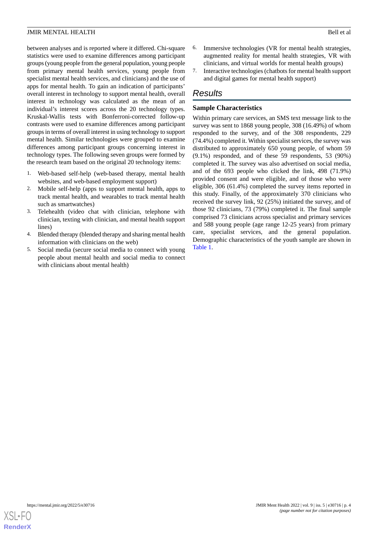between analyses and is reported where it differed. Chi-square statistics were used to examine differences among participant groups (young people from the general population, young people from primary mental health services, young people from specialist mental health services, and clinicians) and the use of apps for mental health. To gain an indication of participants' overall interest in technology to support mental health, overall interest in technology was calculated as the mean of an individual's interest scores across the 20 technology types. Kruskal-Wallis tests with Bonferroni-corrected follow-up contrasts were used to examine differences among participant groups in terms of overall interest in using technology to support mental health. Similar technologies were grouped to examine differences among participant groups concerning interest in technology types. The following seven groups were formed by the research team based on the original 20 technology items:

- 1. Web-based self-help (web-based therapy, mental health websites, and web-based employment support)
- 2. Mobile self-help (apps to support mental health, apps to track mental health, and wearables to track mental health such as smartwatches)
- 3. Telehealth (video chat with clinician, telephone with clinician, texting with clinician, and mental health support lines)
- 4. Blended therapy (blended therapy and sharing mental health information with clinicians on the web)
- 5. Social media (secure social media to connect with young people about mental health and social media to connect with clinicians about mental health)
- 6. Immersive technologies (VR for mental health strategies, augmented reality for mental health strategies, VR with clinicians, and virtual worlds for mental health groups)
- 7. Interactive technologies (chatbots for mental health support and digital games for mental health support)

## *Results*

## **Sample Characteristics**

Within primary care services, an SMS text message link to the survey was sent to 1868 young people, 308 (16.49%) of whom responded to the survey, and of the 308 respondents, 229 (74.4%) completed it. Within specialist services, the survey was distributed to approximately 650 young people, of whom 59 (9.1%) responded, and of these 59 respondents, 53 (90%) completed it. The survey was also advertised on social media, and of the 693 people who clicked the link, 498 (71.9%) provided consent and were eligible, and of those who were eligible, 306 (61.4%) completed the survey items reported in this study. Finally, of the approximately 370 clinicians who received the survey link, 92 (25%) initiated the survey, and of those 92 clinicians, 73 (79%) completed it. The final sample comprised 73 clinicians across specialist and primary services and 588 young people (age range 12-25 years) from primary care, specialist services, and the general population. Demographic characteristics of the youth sample are shown in [Table 1](#page-4-0).

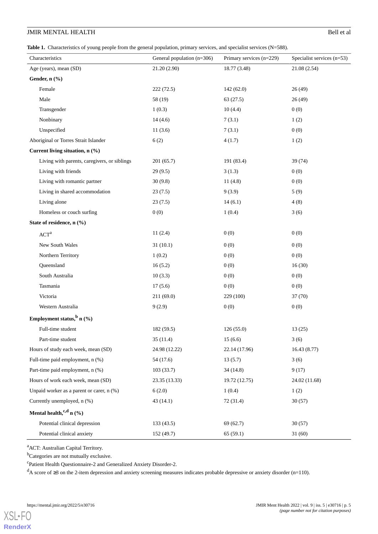<span id="page-4-0"></span>**Table 1.** Characteristics of young people from the general population, primary services, and specialist services (N=588).

| Characteristics                              | General population $(n=306)$ | Primary services (n=229) | Specialist services $(n=53)$ |
|----------------------------------------------|------------------------------|--------------------------|------------------------------|
| Age (years), mean (SD)                       | 21.20 (2.90)                 | 18.77 (3.48)             | 21.08 (2.54)                 |
| Gender, n (%)                                |                              |                          |                              |
| Female                                       | 222(72.5)                    | 142(62.0)                | 26(49)                       |
| Male                                         | 58 (19)                      | 63(27.5)                 | 26(49)                       |
| Transgender                                  | 1(0.3)                       | 10(4.4)                  | 0(0)                         |
| Nonbinary                                    | 14(4.6)                      | 7(3.1)                   | 1(2)                         |
| Unspecified                                  | 11(3.6)                      | 7(3.1)                   | 0(0)                         |
| Aboriginal or Torres Strait Islander         | 6(2)                         | 4(1.7)                   | 1(2)                         |
| Current living situation, n (%)              |                              |                          |                              |
| Living with parents, caregivers, or siblings | 201(65.7)                    | 191 (83.4)               | 39(74)                       |
| Living with friends                          | 29(9.5)                      | 3(1.3)                   | 0(0)                         |
| Living with romantic partner                 | 30(9.8)                      | 11(4.8)                  | 0(0)                         |
| Living in shared accommodation               | 23(7.5)                      | 9(3.9)                   | 5(9)                         |
| Living alone                                 | 23(7.5)                      | 14(6.1)                  | 4(8)                         |
| Homeless or couch surfing                    | 0(0)                         | 1(0.4)                   | 3(6)                         |
| State of residence, n (%)                    |                              |                          |                              |
| ACT <sup>a</sup>                             | 11(2.4)                      | 0(0)                     | 0(0)                         |
| New South Wales                              | 31(10.1)                     | 0(0)                     | 0(0)                         |
| Northern Territory                           | 1(0.2)                       | 0(0)                     | 0(0)                         |
| Queensland                                   | 16(5.2)                      | 0(0)                     | 16(30)                       |
| South Australia                              | 10(3.3)                      | 0(0)                     | 0(0)                         |
| Tasmania                                     | 17(5.6)                      | 0(0)                     | 0(0)                         |
| Victoria                                     | 211(69.0)                    | 229 (100)                | 37(70)                       |
| Western Australia                            | 9(2.9)                       | 0(0)                     | 0(0)                         |
| Employment status, $\frac{b}{c}$ n (%)       |                              |                          |                              |
| Full-time student                            | 182 (59.5)                   | 126(55.0)                | 13(25)                       |
| Part-time student                            | 35(11.4)                     | 15(6.6)                  | 3(6)                         |
| Hours of study each week, mean (SD)          | 24.98 (12.22)                | 22.14 (17.96)            | 16.43(8.77)                  |
| Full-time paid employment, n (%)             | 54 (17.6)                    | 13(5.7)                  | 3(6)                         |
| Part-time paid employment, n (%)             | 103(33.7)                    | 34(14.8)                 | 9(17)                        |
| Hours of work each week, mean (SD)           | 23.35 (13.33)                | 19.72 (12.75)            | 24.02 (11.68)                |
| Unpaid worker as a parent or carer, n (%)    | 6(2.0)                       | 1(0.4)                   | 1(2)                         |
| Currently unemployed, n (%)                  | 43(14.1)                     | 72 (31.4)                | 30(57)                       |
| Mental health, $c,d$ n $(%)$                 |                              |                          |                              |
| Potential clinical depression                | 133(43.5)                    | 69 (62.7)                | 30(57)                       |
| Potential clinical anxiety                   | 152 (49.7)                   | 65(59.1)                 | 31(60)                       |

<sup>a</sup>ACT: Australian Capital Territory.

<sup>b</sup>Categories are not mutually exclusive.

c Patient Health Questionnaire-2 and Generalized Anxiety Disorder-2.

<sup>d</sup>A score of ≥3 on the 2-item depression and anxiety screening measures indicates probable depressive or anxiety disorder (n=110).

**[RenderX](http://www.renderx.com/)**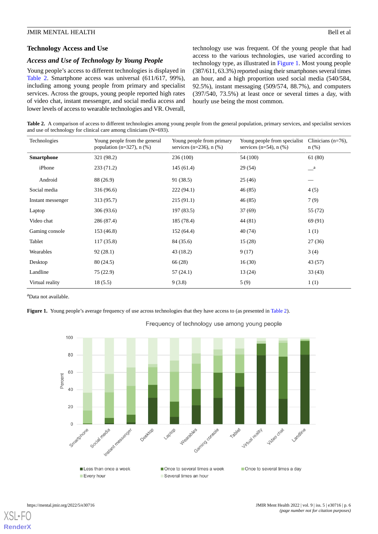#### **Technology Access and Use**

#### *Access and Use of Technology by Young People*

Young people's access to different technologies is displayed in [Table 2.](#page-5-0) Smartphone access was universal (611/617, 99%), including among young people from primary and specialist services. Across the groups, young people reported high rates of video chat, instant messenger, and social media access and lower levels of access to wearable technologies and VR. Overall,

technology use was frequent. Of the young people that had access to the various technologies, use varied according to technology type, as illustrated in [Figure 1](#page-5-1). Most young people (387/611, 63.3%) reported using their smartphones several times an hour, and a high proportion used social media (540/584, 92.5%), instant messaging (509/574, 88.7%), and computers (397/540, 73.5%) at least once or several times a day, with hourly use being the most common.

<span id="page-5-0"></span>Table 2. A comparison of access to different technologies among young people from the general population, primary services, and specialist services and use of technology for clinical care among clinicians  $(N=693)$ .

| Technologies      | Young people from the general<br>population ( $n=327$ ), $n$ (%) | Young people from primary<br>services ( $n=236$ ), $n$ (%) | Young people from specialist<br>services $(n=54)$ , n $(\%)$ | Clinicians $(n=76)$ ,<br>$n$ (%) |
|-------------------|------------------------------------------------------------------|------------------------------------------------------------|--------------------------------------------------------------|----------------------------------|
| <b>Smartphone</b> | 321 (98.2)                                                       | 236 (100)                                                  | 54 (100)                                                     | 61(80)                           |
| iPhone            | 233(71.2)                                                        | 145(61.4)                                                  | 29(54)                                                       | $\mathbf{a}$                     |
| Android           | 88 (26.9)                                                        | 91(38.5)                                                   | 25(46)                                                       |                                  |
| Social media      | 316 (96.6)                                                       | 222(94.1)                                                  | 46(85)                                                       | 4(5)                             |
| Instant messenger | 313 (95.7)                                                       | 215(91.1)                                                  | 46 (85)                                                      | 7(9)                             |
| Laptop            | 306 (93.6)                                                       | 197 (83.5)                                                 | 37(69)                                                       | 55 (72)                          |
| Video chat        | 286 (87.4)                                                       | 185 (78.4)                                                 | 44 (81)                                                      | 69 (91)                          |
| Gaming console    | 153 (46.8)                                                       | 152(64.4)                                                  | 40(74)                                                       | 1(1)                             |
| Tablet            | 117(35.8)                                                        | 84 (35.6)                                                  | 15(28)                                                       | 27(36)                           |
| Wearables         | 92(28.1)                                                         | 43(18.2)                                                   | 9(17)                                                        | 3(4)                             |
| Desktop           | 80 (24.5)                                                        | 66 (28)                                                    | 16(30)                                                       | 43 (57)                          |
| Landline          | 75 (22.9)                                                        | 57(24.1)                                                   | 13(24)                                                       | 33(43)                           |
| Virtual reality   | 18(5.5)                                                          | 9(3.8)                                                     | 5(9)                                                         | 1(1)                             |

<span id="page-5-1"></span><sup>a</sup>Data not available.

**Figure 1.** Young people's average frequency of use across technologies that they have access to (as presented in [Table 2\)](#page-5-0).



Frequency of technology use among young people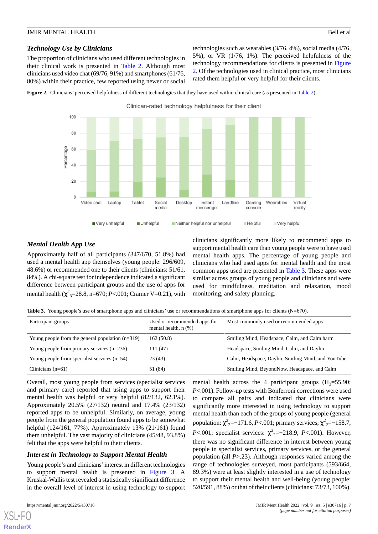### *Technology Use by Clinicians*

The proportion of clinicians who used different technologies in their clinical work is presented in [Table 2.](#page-5-0) Although most clinicians used video chat (69/76, 91%) and smartphones (61/76, 80%) within their practice, few reported using newer or social

technologies such as wearables (3/76, 4%), social media (4/76, 5%), or VR (1/76, 1%). The perceived helpfulness of the technology recommendations for clients is presented in [Figure](#page-6-0) [2.](#page-6-0) Of the technologies used in clinical practice, most clinicians rated them helpful or very helpful for their clients.

<span id="page-6-0"></span>

Clinican-rated technology helpfulness for their client



## *Mental Health App Use*

<span id="page-6-1"></span>Approximately half of all participants (347/670, 51.8%) had used a mental health app themselves (young people: 296/609, 48.6%) or recommended one to their clients (clinicians: 51/61, 84%). A chi-square test for independence indicated a significant difference between participant groups and the use of apps for mental health (χ 2 <sup>3</sup>=28.8, n=670; *P*<.001; Cramer V=0.21), with

clinicians significantly more likely to recommend apps to support mental health care than young people were to have used mental health apps. The percentage of young people and clinicians who had used apps for mental health and the most common apps used are presented in [Table 3](#page-6-1). These apps were similar across groups of young people and clinicians and were used for mindfulness, meditation and relaxation, mood monitoring, and safety planning.

**Table 3.** Young people's use of smartphone apps and clinicians' use or recommendations of smartphone apps for clients (N=670).

| Participant groups                                 | Used or recommended apps for<br>mental health, $n$ $(\%)$ | Most commonly used or recommended apps             |
|----------------------------------------------------|-----------------------------------------------------------|----------------------------------------------------|
| Young people from the general population $(n=319)$ | 162(50.8)                                                 | Smiling Mind, Headspace, Calm, and Calm harm       |
| Young people from primary services $(n=236)$       | 111(47)                                                   | Headspace, Smiling Mind, Calm, and Daylio          |
| Young people from specialist services $(n=54)$     | 23(43)                                                    | Calm, Headspace, Daylio, Smiling Mind, and YouTube |
| Clinicians $(n=61)$                                | 51 (84)                                                   | Smiling Mind, BeyondNow, Headspace, and Calm       |

Overall, most young people from services (specialist services and primary care) reported that using apps to support their mental health was helpful or very helpful (82/132, 62.1%). Approximately 20.5% (27/132) neutral and 17.4% (23/132) reported apps to be unhelpful. Similarly, on average, young people from the general population found apps to be somewhat helpful (124/161, 77%). Approximately 13% (21/161) found them unhelpful. The vast majority of clinicians (45/48, 93.8%) felt that the apps were helpful to their clients.

#### *Interest in Technology to Support Mental Health*

Young people's and clinicians' interest in different technologies to support mental health is presented in [Figure 3.](#page-7-0) A Kruskal-Wallis test revealed a statistically significant difference in the overall level of interest in using technology to support

[XSL](http://www.w3.org/Style/XSL)•FO **[RenderX](http://www.renderx.com/)**

mental health across the 4 participant groups  $(H_3=55.90;$ *P*<.001). Follow-up tests with Bonferroni corrections were used to compare all pairs and indicated that clinicians were significantly more interested in using technology to support mental health than each of the groups of young people (general population:  $\chi^{2}{}_{2}=-171.6, P<.001$ ; primary services;  $\chi^{2}{}_{2}=-158.7,$ *P*<.001; specialist services:  $\chi^{2}{}_{2}=-218.9$ , *P*<.001). However, there was no significant difference in interest between young people in specialist services, primary services, or the general population (all *P*>.23). Although responses varied among the range of technologies surveyed, most participants (593/664, 89.3%) were at least slightly interested in a use of technology to support their mental health and well-being (young people: 520/591, 88%) or that of their clients (clinicians: 73/73, 100%).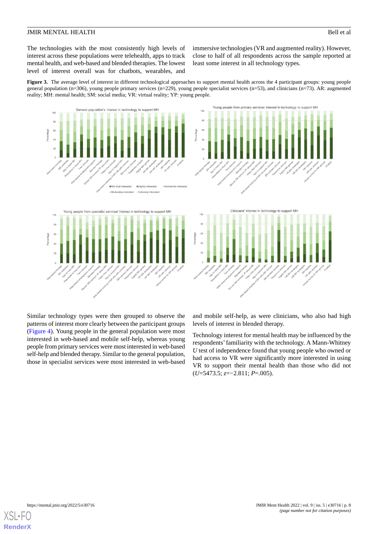The technologies with the most consistently high levels of interest across these populations were telehealth, apps to track mental health, and web-based and blended therapies. The lowest level of interest overall was for chatbots, wearables, and

immersive technologies (VR and augmented reality). However, close to half of all respondents across the sample reported at least some interest in all technology types.

<span id="page-7-0"></span>**Figure 3.** The average level of interest in different technological approaches to support mental health across the 4 participant groups: young people general population (n=306), young people primary services (n=229), young people specialist services (n=53), and clinicians (n=73). AR: augmented reality; MH: mental health; SM: social media; VR: virtual reality; YP: young people.



Similar technology types were then grouped to observe the patterns of interest more clearly between the participant groups ([Figure 4\)](#page-8-0). Young people in the general population were most interested in web-based and mobile self-help, whereas young people from primary services were most interested in web-based self-help and blended therapy. Similar to the general population, those in specialist services were most interested in web-based

and mobile self-help, as were clinicians, who also had high levels of interest in blended therapy.

Technology interest for mental health may be influenced by the respondents'familiarity with the technology. A Mann-Whitney *U* test of independence found that young people who owned or had access to VR were significantly more interested in using VR to support their mental health than those who did not (*U*=5473.5; *z*=−2.811; *P*=.005).

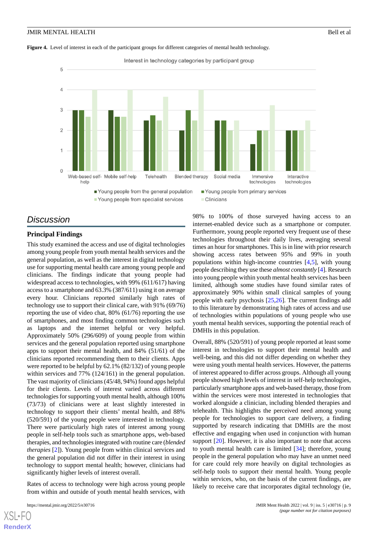#### <span id="page-8-0"></span>**Figure 4.** Level of interest in each of the participant groups for different categories of mental health technology.



## *Discussion*

#### **Principal Findings**

This study examined the access and use of digital technologies among young people from youth mental health services and the general population, as well as the interest in digital technology use for supporting mental health care among young people and clinicians. The findings indicate that young people had widespread access to technologies, with 99% (611/617) having access to a smartphone and 63.3% (387/611) using it on average every hour. Clinicians reported similarly high rates of technology use to support their clinical care, with 91% (69/76) reporting the use of video chat, 80% (61/76) reporting the use of smartphones, and most finding common technologies such as laptops and the internet helpful or very helpful. Approximately 50% (296/609) of young people from within services and the general population reported using smartphone apps to support their mental health, and 84% (51/61) of the clinicians reported recommending them to their clients. Apps were reported to be helpful by 62.1% (82/132) of young people within services and 77% (124/161) in the general population. The vast majority of clinicians (45/48, 94%) found apps helpful for their clients. Levels of interest varied across different technologies for supporting youth mental health, although 100% (73/73) of clinicians were at least slightly interested in technology to support their clients' mental health, and 88% (520/591) of the young people were interested in technology. There were particularly high rates of interest among young people in self-help tools such as smartphone apps, web-based therapies, and technologies integrated with routine care (*blended therapies* [[2](#page-11-1)]). Young people from within clinical services and the general population did not differ in their interest in using technology to support mental health; however, clinicians had significantly higher levels of interest overall.

Rates of access to technology were high across young people from within and outside of youth mental health services, with

internet-enabled device such as a smartphone or computer. Furthermore, young people reported very frequent use of these technologies throughout their daily lives, averaging several times an hour for smartphones. This is in line with prior research showing access rates between 95% and 99% in youth populations within high-income countries  $[4,5]$  $[4,5]$  $[4,5]$ , with young people describing they use these *almost constantly* [\[4](#page-11-3)]. Research into young people within youth mental health services has been limited, although some studies have found similar rates of approximately 90% within small clinical samples of young people with early psychosis [[25](#page-12-5)[,26](#page-12-6)]. The current findings add to this literature by demonstrating high rates of access and use of technologies within populations of young people who use youth mental health services, supporting the potential reach of DMHIs in this population.

98% to 100% of those surveyed having access to an

Overall, 88% (520/591) of young people reported at least some interest in technologies to support their mental health and well-being, and this did not differ depending on whether they were using youth mental health services. However, the patterns of interest appeared to differ across groups. Although all young people showed high levels of interest in self-help technologies, particularly smartphone apps and web-based therapy, those from within the services were most interested in technologies that worked alongside a clinician, including blended therapies and telehealth. This highlights the perceived need among young people for technologies to support care delivery, a finding supported by research indicating that DMHIs are the most effective and engaging when used in conjunction with human support [[20\]](#page-12-0). However, it is also important to note that access to youth mental health care is limited [[34\]](#page-12-14); therefore, young people in the general population who may have an unmet need for care could rely more heavily on digital technologies as self-help tools to support their mental health. Young people within services, who, on the basis of the current findings, are likely to receive care that incorporates digital technology (ie,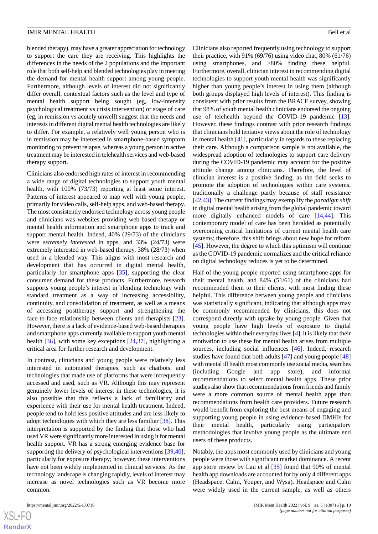blended therapy), may have a greater appreciation for technology to support the care they are receiving. This highlights the differences in the needs of the 2 populations and the important role that both self-help and blended technologies play in meeting the demand for mental health support among young people. Furthermore, although levels of interest did not significantly differ overall, contextual factors such as the level and type of mental health support being sought (eg, low-intensity psychological treatment vs crisis intervention) or stage of care (eg, in remission vs acutely unwell) suggest that the needs and interests in different digital mental health technologies are likely to differ. For example, a relatively well young person who is in remission may be interested in smartphone-based symptom monitoring to prevent relapse, whereas a young person in active treatment may be interested in telehealth services and web-based therapy support.

Clinicians also endorsed high rates of interest in recommending a wide range of digital technologies to support youth mental health, with 100% (73/73) reporting at least some interest. Patterns of interest appeared to map well with young people, primarily for video calls, self-help apps, and web-based therapy. The most consistently endorsed technology across young people and clinicians was websites providing web-based therapy or mental health information and smartphone apps to track and support mental health. Indeed, 40% (29/73) of the clinicians were *extremely interested* in apps, and 33% (24/73) were extremely interested in web-based therapy, 38% (28/73) when used in a blended way. This aligns with most research and development that has occurred in digital mental health, particularly for smartphone apps [\[35](#page-12-15)], supporting the clear consumer demand for these products. Furthermore, research supports young people's interest in blending technology with standard treatment as a way of increasing accessibility, continuity, and consolidation of treatment, as well as a means of accessing posttherapy support and strengthening the face-to-face relationship between clients and therapists [[23\]](#page-12-16). However, there is a lack of evidence-based web-based therapies and smartphone apps currently available to support youth mental health [\[36](#page-12-17)], with some key exceptions [[24](#page-12-4)[,37](#page-12-18)], highlighting a critical area for further research and development.

In contrast, clinicians and young people were relatively less interested in automated therapies, such as chatbots, and technologies that made use of platforms that were infrequently accessed and used, such as VR. Although this may represent genuinely lower levels of interest in these technologies, it is also possible that this reflects a lack of familiarity and experience with their use for mental health treatment. Indeed, people tend to hold less positive attitudes and are less likely to adopt technologies with which they are less familiar [[38\]](#page-12-19). This interpretation is supported by the finding that those who had used VR were significantly more interested in using it for mental health support. VR has a strong emerging evidence base for supporting the delivery of psychological interventions [\[39](#page-12-20),[40\]](#page-12-21), particularly for exposure therapy; however, these interventions have not been widely implemented in clinical services. As the technology landscape is changing rapidly, levels of interest may increase as novel technologies such as VR become more common.

Clinicians also reported frequently using technology to support their practice, with 91% (69/76) using video chat, 80% (61/76) using smartphones, and >80% finding these helpful. Furthermore, overall, clinician interest in recommending digital technologies to support youth mental health was significantly higher than young people's interest in using them (although both groups displayed high levels of interest). This finding is consistent with prior results from the BRACE survey, showing that 98% of youth mental health clinicians endorsed the ongoing use of telehealth beyond the COVID-19 pandemic [[13\]](#page-11-11). However, these findings contrast with prior research findings that clinicians hold tentative views about the role of technology in mental health [[41\]](#page-13-0), particularly in regards to these replacing their care. Although a comparison sample is not available, the widespread adoption of technologies to support care delivery during the COVID-19 pandemic may account for the positive attitude change among clinicians. Therefore, the level of clinician interest is a positive finding, as the field seeks to promote the adoption of technologies within care systems, traditionally a challenge partly because of staff resistance [[42,](#page-13-1)[43\]](#page-13-2). The current findings may exemplify the *paradigm shift* in digital mental health arising from the global pandemic toward more digitally enhanced models of care [[14](#page-11-12)[,44](#page-13-3)]. This contemporary model of care has been heralded as potentially overcoming critical limitations of current mental health care systems; therefore, this shift brings about new hope for reform [[45\]](#page-13-4). However, the degree to which this optimism will continue as the COVID-19 pandemic normalizes and the critical reliance on digital technology reduces is yet to be determined.

Half of the young people reported using smartphone apps for their mental health, and 84% (51/61) of the clinicians had recommended them to their clients, with most finding these helpful. This difference between young people and clinicians was statistically significant, indicating that although apps may be commonly recommended by clinicians, this does not correspond directly with uptake by young people. Given that young people have high levels of exposure to digital technologies within their everyday lives [[4\]](#page-11-3), it is likely that their motivation to use these for mental health arises from multiple sources, including social influences [\[46](#page-13-5)]. Indeed, research studies have found that both adults [\[47](#page-13-6)] and young people [\[48](#page-13-7)] with mental ill health most commonly use social media, searches (including Google and app store), and informal recommendations to select mental health apps. These prior studies also show that recommendations from friends and family were a more common source of mental health apps than recommendations from health care providers. Future research would benefit from exploring the best means of engaging and supporting young people in using evidence-based DMHIs for their mental health, particularly using participatory methodologies that involve young people as the ultimate end users of these products.

Notably, the apps most commonly used by clinicians and young people were those with significant market dominance. A recent app store review by Lau et al [[35\]](#page-12-15) found that 90% of mental health app downloads are accounted for by only 4 different apps (Headspace, Calm, Youper, and Wysa). Headspace and Calm were widely used in the current sample, as well as others

 $XS$ -FO **[RenderX](http://www.renderx.com/)**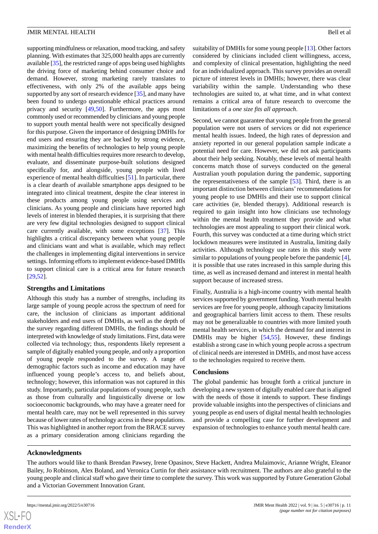supporting mindfulness or relaxation, mood tracking, and safety planning. With estimates that 325,000 health apps are currently available [\[35\]](#page-12-15), the restricted range of apps being used highlights the driving force of marketing behind consumer choice and demand. However, strong marketing rarely translates to effectiveness, with only 2% of the available apps being supported by any sort of research evidence [[35\]](#page-12-15), and many have been found to undergo questionable ethical practices around privacy and security [\[49](#page-13-8),[50\]](#page-13-9). Furthermore, the apps most commonly used or recommended by clinicians and young people to support youth mental health were not specifically designed for this purpose. Given the importance of designing DMHIs for end users and ensuring they are backed by strong evidence, maximizing the benefits of technologies to help young people with mental health difficulties requires more research to develop, evaluate, and disseminate purpose-built solutions designed specifically for, and alongside, young people with lived experience of mental health difficulties [\[51](#page-13-10)]. In particular, there is a clear dearth of available smartphone apps designed to be integrated into clinical treatment, despite the clear interest in these products among young people using services and clinicians. As young people and clinicians have reported high levels of interest in blended therapies, it is surprising that there are very few digital technologies designed to support clinical care currently available, with some exceptions [\[37](#page-12-18)]. This highlights a critical discrepancy between what young people and clinicians want and what is available, which may reflect the challenges in implementing digital interventions in service settings. Informing efforts to implement evidence-based DMHIs to support clinical care is a critical area for future research [[29](#page-12-9)[,52](#page-13-11)].

#### **Strengths and Limitations**

Although this study has a number of strengths, including its large sample of young people across the spectrum of need for care, the inclusion of clinicians as important additional stakeholders and end users of DMHIs, as well as the depth of the survey regarding different DMHIs, the findings should be interpreted with knowledge of study limitations. First, data were collected via technology; thus, respondents likely represent a sample of digitally enabled young people, and only a proportion of young people responded to the survey. A range of demographic factors such as income and education may have influenced young people's access to, and beliefs about, technology; however, this information was not captured in this study. Importantly, particular populations of young people, such as those from culturally and linguistically diverse or low socioeconomic backgrounds, who may have a greater need for mental health care, may not be well represented in this survey because of lower rates of technology access in these populations. This was highlighted in another report from the BRACE survey as a primary consideration among clinicians regarding the

suitability of DMHIs for some young people [\[13](#page-11-11)]. Other factors considered by clinicians included client willingness, access, and complexity of clinical presentation, highlighting the need for an individualized approach. This survey provides an overall picture of interest levels in DMHIs; however, there was clear variability within the sample. Understanding who these technologies are suited to, at what time, and in what context remains a critical area of future research to overcome the limitations of a *one size fits all approach*.

Second, we cannot guarantee that young people from the general population were not users of services or did not experience mental health issues. Indeed, the high rates of depression and anxiety reported in our general population sample indicate a potential need for care. However, we did not ask participants about their help seeking. Notably, these levels of mental health concerns match those of surveys conducted on the general Australian youth population during the pandemic, supporting the representativeness of the sample [\[53](#page-13-12)]. Third, there is an important distinction between clinicians'recommendations for young people to use DMHIs and their use to support clinical care activities (ie, blended therapy). Additional research is required to gain insight into how clinicians use technology within the mental health treatment they provide and what technologies are most appealing to support their clinical work. Fourth, this survey was conducted at a time during which strict lockdown measures were instituted in Australia, limiting daily activities. Although technology use rates in this study were similar to populations of young people before the pandemic [\[4\]](#page-11-3), it is possible that use rates increased in this sample during this time, as well as increased demand and interest in mental health support because of increased stress.

Finally, Australia is a high-income country with mental health services supported by government funding. Youth mental health services are free for young people, although capacity limitations and geographical barriers limit access to them. These results may not be generalizable to countries with more limited youth mental health services, in which the demand for and interest in DMHIs may be higher [[54,](#page-13-13)[55](#page-13-14)]. However, these findings establish a strong case in which young people across a spectrum of clinical needs are interested in DMHIs, and most have access to the technologies required to receive them.

#### **Conclusions**

The global pandemic has brought forth a critical juncture in developing a new system of digitally enabled care that is aligned with the needs of those it intends to support. These findings provide valuable insights into the perspectives of clinicians and young people as end users of digital mental health technologies and provide a compelling case for further development and expansion of technologies to enhance youth mental health care.

#### **Acknowledgments**

The authors would like to thank Brendan Pawsey, Irene Opasinov, Steve Hackett, Andrea Mulaimovic, Arianne Wright, Eleanor Bailey, Jo Robinson, Alex Boland, and Veronica Curtin for their assistance with recruitment. The authors are also grateful to the young people and clinical staff who gave their time to complete the survey. This work was supported by Future Generation Global and a Victorian Government Innovation Grant.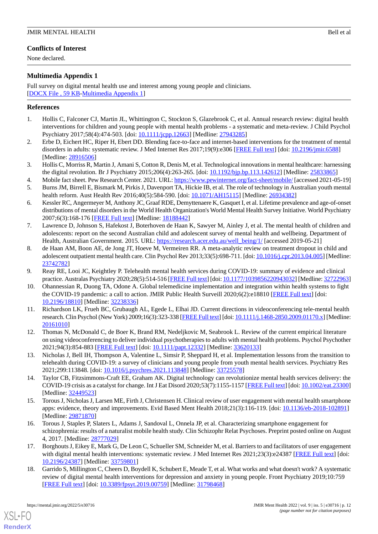## **Conflicts of Interest**

None declared.

## <span id="page-11-16"></span>**Multimedia Appendix 1**

Full survey on digital mental health use and interest among young people and clinicians. [[DOCX File , 59 KB](https://jmir.org/api/download?alt_name=mental_v9i5e30716_app1.docx&filename=7c48894e4285c2f7b38d9d6404b3c446.docx)-[Multimedia Appendix 1\]](https://jmir.org/api/download?alt_name=mental_v9i5e30716_app1.docx&filename=7c48894e4285c2f7b38d9d6404b3c446.docx)

## <span id="page-11-0"></span>**References**

- <span id="page-11-1"></span>1. Hollis C, Falconer CJ, Martin JL, Whittington C, Stockton S, Glazebrook C, et al. Annual research review: digital health interventions for children and young people with mental health problems - a systematic and meta-review. J Child Psychol Psychiatry 2017;58(4):474-503. [doi: [10.1111/jcpp.12663](http://dx.doi.org/10.1111/jcpp.12663)] [Medline: [27943285\]](http://www.ncbi.nlm.nih.gov/entrez/query.fcgi?cmd=Retrieve&db=PubMed&list_uids=27943285&dopt=Abstract)
- <span id="page-11-2"></span>2. Erbe D, Eichert HC, Riper H, Ebert DD. Blending face-to-face and internet-based interventions for the treatment of mental disorders in adults: systematic review. J Med Internet Res 2017;19(9):e306 [[FREE Full text](https://www.jmir.org/2017/9/e306/)] [doi: [10.2196/jmir.6588](http://dx.doi.org/10.2196/jmir.6588)] [Medline: [28916506](http://www.ncbi.nlm.nih.gov/entrez/query.fcgi?cmd=Retrieve&db=PubMed&list_uids=28916506&dopt=Abstract)]
- <span id="page-11-17"></span><span id="page-11-3"></span>3. Hollis C, Morriss R, Martin J, Amani S, Cotton R, Denis M, et al. Technological innovations in mental healthcare: harnessing the digital revolution. Br J Psychiatry 2015;206(4):263-265. [doi: [10.1192/bjp.bp.113.142612](http://dx.doi.org/10.1192/bjp.bp.113.142612)] [Medline: [25833865\]](http://www.ncbi.nlm.nih.gov/entrez/query.fcgi?cmd=Retrieve&db=PubMed&list_uids=25833865&dopt=Abstract)
- <span id="page-11-4"></span>4. Mobile fact sheet. Pew Research Center. 2021. URL:<https://www.pewinternet.org/fact-sheet/mobile/> [accessed 2021-05-19]
- 5. Burns JM, Birrell E, Bismark M, Pirkis J, Davenport TA, Hickie IB, et al. The role of technology in Australian youth mental health reform. Aust Health Rev 2016;40(5):584-590. [doi: [10.1071/AH15115](http://dx.doi.org/10.1071/AH15115)] [Medline: [26934382](http://www.ncbi.nlm.nih.gov/entrez/query.fcgi?cmd=Retrieve&db=PubMed&list_uids=26934382&dopt=Abstract)]
- <span id="page-11-5"></span>6. Kessler RC, Angermeyer M, Anthony JC, Graaf RDE, Demyttenaere K, Gasquet I, et al. Lifetime prevalence and age-of-onset distributions of mental disorders in the World Health Organization's World Mental Health Survey Initiative. World Psychiatry 2007;6(3):168-176 [[FREE Full text](https://onlinelibrary.wiley.com/resolve/openurl?genre=article&sid=nlm:pubmed&issn=1723-8617&date=2007&volume=6&issue=3&spage=168)] [Medline: [18188442](http://www.ncbi.nlm.nih.gov/entrez/query.fcgi?cmd=Retrieve&db=PubMed&list_uids=18188442&dopt=Abstract)]
- <span id="page-11-6"></span>7. Lawrence D, Johnson S, Hafekost J, Boterhoven de Haan K, Sawyer M, Ainley J, et al. The mental health of children and adolescents: report on the second Australian child and adolescent survey of mental health and wellbeing. Department of Health, Australian Government. 2015. URL: [https://research.acer.edu.au/well\\_being/1/](https://research.acer.edu.au/well_being/1/) [accessed 2019-05-21]
- <span id="page-11-8"></span><span id="page-11-7"></span>8. de Haan AM, Boon AE, de Jong JT, Hoeve M, Vermeiren RR. A meta-analytic review on treatment dropout in child and adolescent outpatient mental health care. Clin Psychol Rev 2013;33(5):698-711. [doi: [10.1016/j.cpr.2013.04.005](http://dx.doi.org/10.1016/j.cpr.2013.04.005)] [Medline: [23742782](http://www.ncbi.nlm.nih.gov/entrez/query.fcgi?cmd=Retrieve&db=PubMed&list_uids=23742782&dopt=Abstract)]
- 9. Reay RE, Looi JC, Keightley P. Telehealth mental health services during COVID-19: summary of evidence and clinical practice. Australas Psychiatry 2020;28(5):514-516 [[FREE Full text\]](https://journals.sagepub.com/doi/10.1177/1039856220943032?url_ver=Z39.88-2003&rfr_id=ori:rid:crossref.org&rfr_dat=cr_pub%3dpubmed) [doi: [10.1177/1039856220943032\]](http://dx.doi.org/10.1177/1039856220943032) [Medline: [32722963\]](http://www.ncbi.nlm.nih.gov/entrez/query.fcgi?cmd=Retrieve&db=PubMed&list_uids=32722963&dopt=Abstract)
- <span id="page-11-9"></span>10. Ohannessian R, Duong TA, Odone A. Global telemedicine implementation and integration within health systems to fight the COVID-19 pandemic: a call to action. JMIR Public Health Surveill 2020;6(2):e18810 [[FREE Full text](https://publichealth.jmir.org/2020/2/e18810/)] [doi: [10.2196/18810\]](http://dx.doi.org/10.2196/18810) [Medline: [32238336\]](http://www.ncbi.nlm.nih.gov/entrez/query.fcgi?cmd=Retrieve&db=PubMed&list_uids=32238336&dopt=Abstract)
- <span id="page-11-11"></span><span id="page-11-10"></span>11. Richardson LK, Frueh BC, Grubaugh AL, Egede L, Elhai JD. Current directions in videoconferencing tele-mental health research. Clin Psychol (New York) 2009;16(3):323-338 [[FREE Full text](http://europepmc.org/abstract/MED/20161010)] [doi: [10.1111/j.1468-2850.2009.01170.x](http://dx.doi.org/10.1111/j.1468-2850.2009.01170.x)] [Medline: [20161010](http://www.ncbi.nlm.nih.gov/entrez/query.fcgi?cmd=Retrieve&db=PubMed&list_uids=20161010&dopt=Abstract)]
- <span id="page-11-12"></span>12. Thomas N, McDonald C, de Boer K, Brand RM, Nedeljkovic M, Seabrook L. Review of the current empirical literature on using videoconferencing to deliver individual psychotherapies to adults with mental health problems. Psychol Psychother 2021;94(3):854-883 [[FREE Full text](http://europepmc.org/abstract/MED/33620133)] [doi: [10.1111/papt.12332](http://dx.doi.org/10.1111/papt.12332)] [Medline: [33620133](http://www.ncbi.nlm.nih.gov/entrez/query.fcgi?cmd=Retrieve&db=PubMed&list_uids=33620133&dopt=Abstract)]
- <span id="page-11-13"></span>13. Nicholas J, Bell IH, Thompson A, Valentine L, Simsir P, Sheppard H, et al. Implementation lessons from the transition to telehealth during COVID-19: a survey of clinicians and young people from youth mental health services. Psychiatry Res 2021;299:113848. [doi: [10.1016/j.psychres.2021.113848](http://dx.doi.org/10.1016/j.psychres.2021.113848)] [Medline: [33725578\]](http://www.ncbi.nlm.nih.gov/entrez/query.fcgi?cmd=Retrieve&db=PubMed&list_uids=33725578&dopt=Abstract)
- <span id="page-11-14"></span>14. Taylor CB, Fitzsimmons-Craft EE, Graham AK. Digital technology can revolutionize mental health services delivery: the COVID-19 crisis as a catalyst for change. Int J Eat Disord 2020;53(7):1155-1157 [[FREE Full text](http://europepmc.org/abstract/MED/32449523)] [doi: [10.1002/eat.23300](http://dx.doi.org/10.1002/eat.23300)] [Medline: [32449523](http://www.ncbi.nlm.nih.gov/entrez/query.fcgi?cmd=Retrieve&db=PubMed&list_uids=32449523&dopt=Abstract)]
- <span id="page-11-15"></span>15. Torous J, Nicholas J, Larsen ME, Firth J, Christensen H. Clinical review of user engagement with mental health smartphone apps: evidence, theory and improvements. Evid Based Ment Health 2018;21(3):116-119. [doi: [10.1136/eb-2018-102891\]](http://dx.doi.org/10.1136/eb-2018-102891) [Medline: [29871870](http://www.ncbi.nlm.nih.gov/entrez/query.fcgi?cmd=Retrieve&db=PubMed&list_uids=29871870&dopt=Abstract)]
- 16. Torous J, Staples P, Slaters L, Adams J, Sandoval L, Onnela JP, et al. Characterizing smartphone engagement for schizophrenia: results of a naturalist mobile health study. Clin Schizophr Relat Psychoses. Preprint posted online on August 4, 2017. [Medline: [28777029\]](http://www.ncbi.nlm.nih.gov/entrez/query.fcgi?cmd=Retrieve&db=PubMed&list_uids=28777029&dopt=Abstract)
- 17. Borghouts J, Eikey E, Mark G, De Leon C, Schueller SM, Schneider M, et al. Barriers to and facilitators of user engagement with digital mental health interventions: systematic review. J Med Internet Res 2021;23(3):e24387 [[FREE Full text\]](https://www.jmir.org/2021/3/e24387/) [doi: [10.2196/24387\]](http://dx.doi.org/10.2196/24387) [Medline: [33759801\]](http://www.ncbi.nlm.nih.gov/entrez/query.fcgi?cmd=Retrieve&db=PubMed&list_uids=33759801&dopt=Abstract)
- 18. Garrido S, Millington C, Cheers D, Boydell K, Schubert E, Meade T, et al. What works and what doesn't work? A systematic review of digital mental health interventions for depression and anxiety in young people. Front Psychiatry 2019;10:759 [[FREE Full text](https://doi.org/10.3389/fpsyt.2019.00759)] [doi: [10.3389/fpsyt.2019.00759\]](http://dx.doi.org/10.3389/fpsyt.2019.00759) [Medline: [31798468](http://www.ncbi.nlm.nih.gov/entrez/query.fcgi?cmd=Retrieve&db=PubMed&list_uids=31798468&dopt=Abstract)]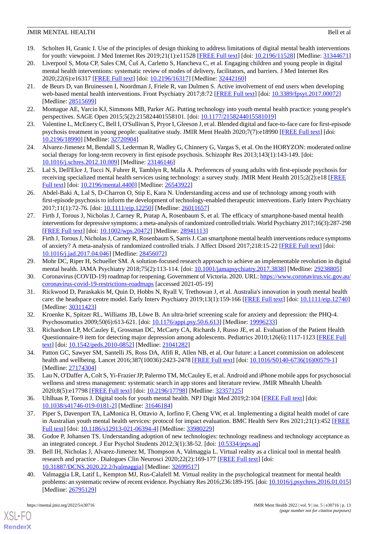- <span id="page-12-1"></span>19. Scholten H, Granic I. Use of the principles of design thinking to address limitations of digital mental health interventions for youth: viewpoint. J Med Internet Res 2019;21(1):e11528 [[FREE Full text](https://www.jmir.org/2019/1/e11528/)] [doi: [10.2196/11528\]](http://dx.doi.org/10.2196/11528) [Medline: [31344671](http://www.ncbi.nlm.nih.gov/entrez/query.fcgi?cmd=Retrieve&db=PubMed&list_uids=31344671&dopt=Abstract)]
- <span id="page-12-0"></span>20. Liverpool S, Mota CP, Sales CM, Čuš A, Carletto S, Hancheva C, et al. Engaging children and young people in digital mental health interventions: systematic review of modes of delivery, facilitators, and barriers. J Med Internet Res 2020;22(6):e16317 [\[FREE Full text](https://www.jmir.org/2020/6/e16317/)] [doi: [10.2196/16317\]](http://dx.doi.org/10.2196/16317) [Medline: [32442160\]](http://www.ncbi.nlm.nih.gov/entrez/query.fcgi?cmd=Retrieve&db=PubMed&list_uids=32442160&dopt=Abstract)
- <span id="page-12-2"></span>21. de Beurs D, van Bruinessen I, Noordman J, Friele R, van Dulmen S. Active involvement of end users when developing web-based mental health interventions. Front Psychiatry 2017;8:72 [[FREE Full text](https://doi.org/10.3389/fpsyt.2017.00072)] [doi: [10.3389/fpsyt.2017.00072\]](http://dx.doi.org/10.3389/fpsyt.2017.00072) [Medline: [28515699](http://www.ncbi.nlm.nih.gov/entrez/query.fcgi?cmd=Retrieve&db=PubMed&list_uids=28515699&dopt=Abstract)]
- <span id="page-12-16"></span><span id="page-12-3"></span>22. Montague AE, Varcin KJ, Simmons MB, Parker AG. Putting technology into youth mental health practice: young people's perspectives. SAGE Open 2015;5(2):215824401558101. [doi: [10.1177/2158244015581019\]](http://dx.doi.org/10.1177/2158244015581019)
- <span id="page-12-4"></span>23. Valentine L, McEnery C, Bell I, O'Sullivan S, Pryor I, Gleeson J, et al. Blended digital and face-to-face care for first-episode psychosis treatment in young people: qualitative study. JMIR Ment Health 2020;7(7):e18990 [[FREE Full text](https://mental.jmir.org/2020/7/e18990/)] [doi: [10.2196/18990\]](http://dx.doi.org/10.2196/18990) [Medline: [32720904\]](http://www.ncbi.nlm.nih.gov/entrez/query.fcgi?cmd=Retrieve&db=PubMed&list_uids=32720904&dopt=Abstract)
- <span id="page-12-5"></span>24. Alvarez-Jimenez M, Bendall S, Lederman R, Wadley G, Chinnery G, Vargas S, et al. On the HORYZON: moderated online social therapy for long-term recovery in first episode psychosis. Schizophr Res 2013;143(1):143-149. [doi: [10.1016/j.schres.2012.10.009\]](http://dx.doi.org/10.1016/j.schres.2012.10.009) [Medline: [23146146](http://www.ncbi.nlm.nih.gov/entrez/query.fcgi?cmd=Retrieve&db=PubMed&list_uids=23146146&dopt=Abstract)]
- <span id="page-12-6"></span>25. Lal S, Dell'Elce J, Tucci N, Fuhrer R, Tamblyn R, Malla A. Preferences of young adults with first-episode psychosis for receiving specialized mental health services using technology: a survey study. JMIR Ment Health 2015;2(2):e18 [\[FREE](https://mental.jmir.org/2015/2/e18/) [Full text\]](https://mental.jmir.org/2015/2/e18/) [doi: [10.2196/mental.4400](http://dx.doi.org/10.2196/mental.4400)] [Medline: [26543922\]](http://www.ncbi.nlm.nih.gov/entrez/query.fcgi?cmd=Retrieve&db=PubMed&list_uids=26543922&dopt=Abstract)
- <span id="page-12-7"></span>26. Abdel-Baki A, Lal S, D-Charron O, Stip E, Kara N. Understanding access and use of technology among youth with first-episode psychosis to inform the development of technology-enabled therapeutic interventions. Early Interv Psychiatry 2017;11(1):72-76. [doi: [10.1111/eip.12250](http://dx.doi.org/10.1111/eip.12250)] [Medline: [26011657](http://www.ncbi.nlm.nih.gov/entrez/query.fcgi?cmd=Retrieve&db=PubMed&list_uids=26011657&dopt=Abstract)]
- <span id="page-12-8"></span>27. Firth J, Torous J, Nicholas J, Carney R, Pratap A, Rosenbaum S, et al. The efficacy of smartphone-based mental health interventions for depressive symptoms: a meta-analysis of randomized controlled trials. World Psychiatry 2017;16(3):287-298 [[FREE Full text](https://doi.org/10.1002/wps.20472)] [doi: [10.1002/wps.20472](http://dx.doi.org/10.1002/wps.20472)] [Medline: [28941113](http://www.ncbi.nlm.nih.gov/entrez/query.fcgi?cmd=Retrieve&db=PubMed&list_uids=28941113&dopt=Abstract)]
- <span id="page-12-10"></span><span id="page-12-9"></span>28. Firth J, Torous J, Nicholas J, Carney R, Rosenbaum S, Sarris J. Can smartphone mental health interventions reduce symptoms of anxiety? A meta-analysis of randomized controlled trials. J Affect Disord 2017;218:15-22 [\[FREE Full text\]](https://linkinghub.elsevier.com/retrieve/pii/S0165-0327(17)30015-0) [doi: [10.1016/j.jad.2017.04.046\]](http://dx.doi.org/10.1016/j.jad.2017.04.046) [Medline: [28456072\]](http://www.ncbi.nlm.nih.gov/entrez/query.fcgi?cmd=Retrieve&db=PubMed&list_uids=28456072&dopt=Abstract)
- <span id="page-12-11"></span>29. Mohr DC, Riper H, Schueller SM. A solution-focused research approach to achieve an implementable revolution in digital mental health. JAMA Psychiatry 2018;75(2):113-114. [doi: [10.1001/jamapsychiatry.2017.3838](http://dx.doi.org/10.1001/jamapsychiatry.2017.3838)] [Medline: [29238805\]](http://www.ncbi.nlm.nih.gov/entrez/query.fcgi?cmd=Retrieve&db=PubMed&list_uids=29238805&dopt=Abstract)
- <span id="page-12-12"></span>30. Coronavirus (COVID-19) roadmap for reopening. Government of Victoria. 2020. URL: [https://www.coronavirus.vic.gov.au/](https://www.coronavirus.vic.gov.au/coronavirus-covid-19-restrictions-roadmaps) [coronavirus-covid-19-restrictions-roadmaps](https://www.coronavirus.vic.gov.au/coronavirus-covid-19-restrictions-roadmaps) [accessed 2021-05-19]
- <span id="page-12-13"></span>31. Rickwood D, Paraskakis M, Quin D, Hobbs N, Ryall V, Trethowan J, et al. Australia's innovation in youth mental health care: the headspace centre model. Early Interv Psychiatry 2019;13(1):159-166 [\[FREE Full text\]](http://europepmc.org/abstract/MED/30311423) [doi: [10.1111/eip.12740\]](http://dx.doi.org/10.1111/eip.12740) [Medline: [30311423](http://www.ncbi.nlm.nih.gov/entrez/query.fcgi?cmd=Retrieve&db=PubMed&list_uids=30311423&dopt=Abstract)]
- <span id="page-12-14"></span>32. Kroenke K, Spitzer RL, Williams JB, Löwe B. An ultra-brief screening scale for anxiety and depression: the PHQ-4. Psychosomatics 2009;50(6):613-621. [doi: [10.1176/appi.psy.50.6.613\]](http://dx.doi.org/10.1176/appi.psy.50.6.613) [Medline: [19996233](http://www.ncbi.nlm.nih.gov/entrez/query.fcgi?cmd=Retrieve&db=PubMed&list_uids=19996233&dopt=Abstract)]
- <span id="page-12-15"></span>33. Richardson LP, McCauley E, Grossman DC, McCarty CA, Richards J, Russo JE, et al. Evaluation of the Patient Health Questionnaire-9 item for detecting major depression among adolescents. Pediatrics 2010;126(6):1117-1123 [\[FREE Full](http://europepmc.org/abstract/MED/21041282) [text](http://europepmc.org/abstract/MED/21041282)] [doi: [10.1542/peds.2010-0852](http://dx.doi.org/10.1542/peds.2010-0852)] [Medline: [21041282\]](http://www.ncbi.nlm.nih.gov/entrez/query.fcgi?cmd=Retrieve&db=PubMed&list_uids=21041282&dopt=Abstract)
- <span id="page-12-17"></span>34. Patton GC, Sawyer SM, Santelli JS, Ross DA, Afifi R, Allen NB, et al. Our future: a Lancet commission on adolescent health and wellbeing. Lancet 2016;387(10036):2423-2478 [[FREE Full text](http://europepmc.org/abstract/MED/27174304)] [doi: [10.1016/S0140-6736\(16\)00579-1\]](http://dx.doi.org/10.1016/S0140-6736(16)00579-1) [Medline: [27174304](http://www.ncbi.nlm.nih.gov/entrez/query.fcgi?cmd=Retrieve&db=PubMed&list_uids=27174304&dopt=Abstract)]
- <span id="page-12-18"></span>35. Lau N, O'Daffer A, Colt S, Yi-Frazier JP, Palermo TM, McCauley E, et al. Android and iPhone mobile apps for psychosocial wellness and stress management: systematic search in app stores and literature review. JMIR Mhealth Uhealth 2020;8(5):e17798 [\[FREE Full text](https://mhealth.jmir.org/2020/5/e17798/)] [doi: [10.2196/17798\]](http://dx.doi.org/10.2196/17798) [Medline: [32357125\]](http://www.ncbi.nlm.nih.gov/entrez/query.fcgi?cmd=Retrieve&db=PubMed&list_uids=32357125&dopt=Abstract)
- <span id="page-12-19"></span>36. Uhlhaas P, Torous J. Digital tools for youth mental health. NPJ Digit Med 2019;2:104 [\[FREE Full text\]](https://doi.org/10.1038/s41746-019-0181-2) [doi: [10.1038/s41746-019-0181-2\]](http://dx.doi.org/10.1038/s41746-019-0181-2) [Medline: [31646184](http://www.ncbi.nlm.nih.gov/entrez/query.fcgi?cmd=Retrieve&db=PubMed&list_uids=31646184&dopt=Abstract)]
- <span id="page-12-20"></span>37. Piper S, Davenport TA, LaMonica H, Ottavio A, Iorfino F, Cheng VW, et al. Implementing a digital health model of care in Australian youth mental health services: protocol for impact evaluation. BMC Health Serv Res 2021;21(1):452 [\[FREE](https://bmchealthservres.biomedcentral.com/articles/10.1186/s12913-021-06394-4) [Full text\]](https://bmchealthservres.biomedcentral.com/articles/10.1186/s12913-021-06394-4) [doi: [10.1186/s12913-021-06394-4](http://dx.doi.org/10.1186/s12913-021-06394-4)] [Medline: [33980229](http://www.ncbi.nlm.nih.gov/entrez/query.fcgi?cmd=Retrieve&db=PubMed&list_uids=33980229&dopt=Abstract)]
- <span id="page-12-21"></span>38. Godoe P, Johansen TS. Understanding adoption of new technologies: technology readiness and technology acceptance as an integrated concept. J Eur Psychol Students 2012;3(1):38-52. [doi: [10.5334/jeps.aq\]](http://dx.doi.org/10.5334/jeps.aq)
- 39. Bell IH, Nicholas J, Alvarez-Jimenez M, Thompson A, Valmaggia L. Virtual reality as a clinical tool in mental health research and practice . Dialogues Clin Neurosci 2020;22(2):169-177 [\[FREE Full text\]](http://europepmc.org/abstract/MED/32699517) [doi: [10.31887/DCNS.2020.22.2/lvalmaggia\]](http://dx.doi.org/10.31887/DCNS.2020.22.2/lvalmaggia) [Medline: [32699517\]](http://www.ncbi.nlm.nih.gov/entrez/query.fcgi?cmd=Retrieve&db=PubMed&list_uids=32699517&dopt=Abstract)
- 40. Valmaggia LR, Latif L, Kempton MJ, Rus-Calafell M. Virtual reality in the psychological treatment for mental health problems: an systematic review of recent evidence. Psychiatry Res 2016;236:189-195. [doi: [10.1016/j.psychres.2016.01.015\]](http://dx.doi.org/10.1016/j.psychres.2016.01.015) [Medline: [26795129](http://www.ncbi.nlm.nih.gov/entrez/query.fcgi?cmd=Retrieve&db=PubMed&list_uids=26795129&dopt=Abstract)]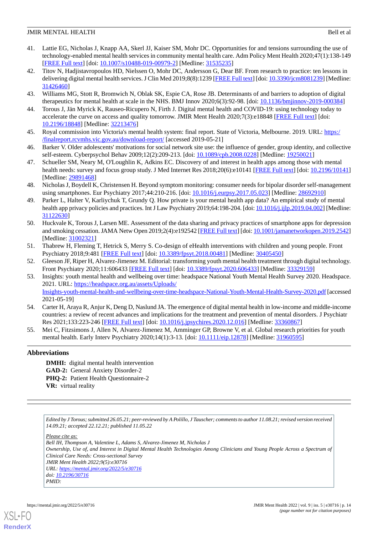- <span id="page-13-0"></span>41. Lattie EG, Nicholas J, Knapp AA, Skerl JJ, Kaiser SM, Mohr DC. Opportunities for and tensions surrounding the use of technology-enabled mental health services in community mental health care. Adm Policy Ment Health 2020;47(1):138-149 [[FREE Full text](http://europepmc.org/abstract/MED/31535235)] [doi: [10.1007/s10488-019-00979-2\]](http://dx.doi.org/10.1007/s10488-019-00979-2) [Medline: [31535235](http://www.ncbi.nlm.nih.gov/entrez/query.fcgi?cmd=Retrieve&db=PubMed&list_uids=31535235&dopt=Abstract)]
- <span id="page-13-1"></span>42. Titov N, Hadjistavropoulos HD, Nielssen O, Mohr DC, Andersson G, Dear BF. From research to practice: ten lessons in delivering digital mental health services. J Clin Med 2019;8(8):1239 [[FREE Full text\]](https://www.mdpi.com/resolver?pii=jcm8081239) [doi: [10.3390/jcm8081239](http://dx.doi.org/10.3390/jcm8081239)] [Medline: [31426460](http://www.ncbi.nlm.nih.gov/entrez/query.fcgi?cmd=Retrieve&db=PubMed&list_uids=31426460&dopt=Abstract)]
- <span id="page-13-3"></span><span id="page-13-2"></span>43. Williams MG, Stott R, Bromwich N, Oblak SK, Espie CA, Rose JB. Determinants of and barriers to adoption of digital therapeutics for mental health at scale in the NHS. BMJ Innov 2020;6(3):92-98. [doi: [10.1136/bmjinnov-2019-000384](http://dx.doi.org/10.1136/bmjinnov-2019-000384)]
- <span id="page-13-4"></span>44. Torous J, Jän Myrick K, Rauseo-Ricupero N, Firth J. Digital mental health and COVID-19: using technology today to accelerate the curve on access and quality tomorrow. JMIR Ment Health 2020;7(3):e18848 [\[FREE Full text\]](https://mental.jmir.org/2020/3/e18848/) [doi: [10.2196/18848\]](http://dx.doi.org/10.2196/18848) [Medline: [32213476\]](http://www.ncbi.nlm.nih.gov/entrez/query.fcgi?cmd=Retrieve&db=PubMed&list_uids=32213476&dopt=Abstract)
- <span id="page-13-5"></span>45. Royal commission into Victoria's mental health system: final report. State of Victoria, Melbourne. 2019. URL: [https:/](https://finalreport.rcvmhs.vic.gov.au/download-report/) [/finalreport.rcvmhs.vic.gov.au/download-report/](https://finalreport.rcvmhs.vic.gov.au/download-report/) [accessed 2019-05-21]
- <span id="page-13-6"></span>46. Barker V. Older adolescents' motivations for social network site use: the influence of gender, group identity, and collective self-esteem. Cyberpsychol Behav 2009;12(2):209-213. [doi: [10.1089/cpb.2008.0228](http://dx.doi.org/10.1089/cpb.2008.0228)] [Medline: [19250021\]](http://www.ncbi.nlm.nih.gov/entrez/query.fcgi?cmd=Retrieve&db=PubMed&list_uids=19250021&dopt=Abstract)
- <span id="page-13-7"></span>47. Schueller SM, Neary M, O'Loughlin K, Adkins EC. Discovery of and interest in health apps among those with mental health needs: survey and focus group study. J Med Internet Res 2018;20(6):e10141 [\[FREE Full text](https://www.jmir.org/2018/6/e10141/)] [doi: [10.2196/10141](http://dx.doi.org/10.2196/10141)] [Medline: [29891468](http://www.ncbi.nlm.nih.gov/entrez/query.fcgi?cmd=Retrieve&db=PubMed&list_uids=29891468&dopt=Abstract)]
- <span id="page-13-8"></span>48. Nicholas J, Boydell K, Christensen H. Beyond symptom monitoring: consumer needs for bipolar disorder self-management using smartphones. Eur Psychiatry 2017;44:210-216. [doi: [10.1016/j.eurpsy.2017.05.023](http://dx.doi.org/10.1016/j.eurpsy.2017.05.023)] [Medline: [28692910](http://www.ncbi.nlm.nih.gov/entrez/query.fcgi?cmd=Retrieve&db=PubMed&list_uids=28692910&dopt=Abstract)]
- <span id="page-13-9"></span>49. Parker L, Halter V, Karliychuk T, Grundy Q. How private is your mental health app data? An empirical study of mental health app privacy policies and practices. Int J Law Psychiatry 2019;64:198-204. [doi: [10.1016/j.ijlp.2019.04.002](http://dx.doi.org/10.1016/j.ijlp.2019.04.002)] [Medline: [31122630](http://www.ncbi.nlm.nih.gov/entrez/query.fcgi?cmd=Retrieve&db=PubMed&list_uids=31122630&dopt=Abstract)]
- <span id="page-13-10"></span>50. Huckvale K, Torous J, Larsen ME. Assessment of the data sharing and privacy practices of smartphone apps for depression and smoking cessation. JAMA Netw Open 2019;2(4):e192542 [\[FREE Full text\]](https://jamanetwork.com/journals/jamanetworkopen/fullarticle/10.1001/jamanetworkopen.2019.2542) [doi: [10.1001/jamanetworkopen.2019.2542\]](http://dx.doi.org/10.1001/jamanetworkopen.2019.2542) [Medline: [31002321](http://www.ncbi.nlm.nih.gov/entrez/query.fcgi?cmd=Retrieve&db=PubMed&list_uids=31002321&dopt=Abstract)]
- <span id="page-13-12"></span><span id="page-13-11"></span>51. Thabrew H, Fleming T, Hetrick S, Merry S. Co-design of eHealth interventions with children and young people. Front Psychiatry 2018;9:481 [[FREE Full text](https://doi.org/10.3389/fpsyt.2018.00481)] [doi: [10.3389/fpsyt.2018.00481\]](http://dx.doi.org/10.3389/fpsyt.2018.00481) [Medline: [30405450](http://www.ncbi.nlm.nih.gov/entrez/query.fcgi?cmd=Retrieve&db=PubMed&list_uids=30405450&dopt=Abstract)]
- 52. Gleeson JF, Riper H, Alvarez-Jimenez M. Editorial: transforming youth mental health treatment through digital technology. Front Psychiatry 2020;11:606433 [[FREE Full text](https://doi.org/10.3389/fpsyt.2020.606433)] [doi: [10.3389/fpsyt.2020.606433\]](http://dx.doi.org/10.3389/fpsyt.2020.606433) [Medline: [33329159](http://www.ncbi.nlm.nih.gov/entrez/query.fcgi?cmd=Retrieve&db=PubMed&list_uids=33329159&dopt=Abstract)]
- <span id="page-13-13"></span>53. Insights: youth mental health and wellbeing over time: headspace National Youth Mental Health Survey 2020. Headspace. 2021. URL: [https://headspace.org.au/assets/Uploads/](https://headspace.org.au/assets/Uploads/Insights-youth-mental-health-and-wellbeing-over-time-headspace-National-Youth-Mental-Health-Survey-2020.pdf) [Insights-youth-mental-health-and-wellbeing-over-time-headspace-National-Youth-Mental-Health-Survey-2020.pdf](https://headspace.org.au/assets/Uploads/Insights-youth-mental-health-and-wellbeing-over-time-headspace-National-Youth-Mental-Health-Survey-2020.pdf) [accessed 2021-05-19]
- <span id="page-13-14"></span>54. Carter H, Araya R, Anjur K, Deng D, Naslund JA. The emergence of digital mental health in low-income and middle-income countries: a review of recent advances and implications for the treatment and prevention of mental disorders. J Psychiatr Res 2021;133:223-246 [[FREE Full text](http://europepmc.org/abstract/MED/33360867)] [doi: [10.1016/j.jpsychires.2020.12.016\]](http://dx.doi.org/10.1016/j.jpsychires.2020.12.016) [Medline: [33360867\]](http://www.ncbi.nlm.nih.gov/entrez/query.fcgi?cmd=Retrieve&db=PubMed&list_uids=33360867&dopt=Abstract)
- 55. Mei C, Fitzsimons J, Allen N, Alvarez-Jimenez M, Amminger GP, Browne V, et al. Global research priorities for youth mental health. Early Interv Psychiatry 2020;14(1):3-13. [doi: [10.1111/eip.12878\]](http://dx.doi.org/10.1111/eip.12878) [Medline: [31960595\]](http://www.ncbi.nlm.nih.gov/entrez/query.fcgi?cmd=Retrieve&db=PubMed&list_uids=31960595&dopt=Abstract)

## **Abbreviations**

**DMHI:** digital mental health intervention **GAD-2:** General Anxiety Disorder-2 **PHQ-2:** Patient Health Questionnaire-2 **VR:** virtual reality

*Edited by J Torous; submitted 26.05.21; peer-reviewed by A Polillo, J Tauscher; comments to author 11.08.21; revised version received 14.09.21; accepted 22.12.21; published 11.05.22*

*Please cite as:*

*Bell IH, Thompson A, Valentine L, Adams S, Alvarez-Jimenez M, Nicholas J Ownership, Use of, and Interest in Digital Mental Health Technologies Among Clinicians and Young People Across a Spectrum of Clinical Care Needs: Cross-sectional Survey JMIR Ment Health 2022;9(5):e30716 URL: <https://mental.jmir.org/2022/5/e30716> doi: [10.2196/30716](http://dx.doi.org/10.2196/30716) PMID:*